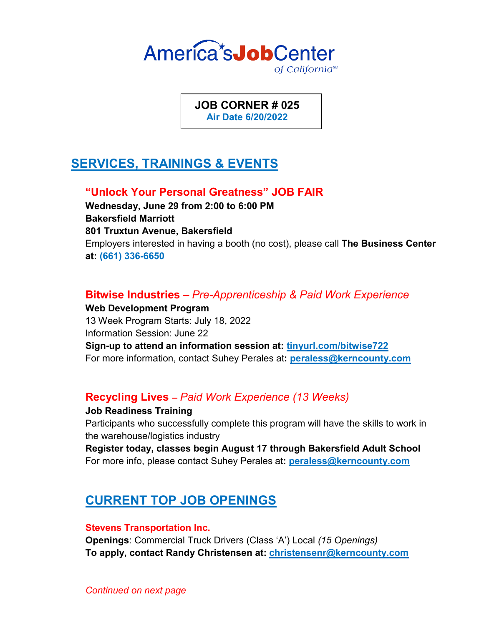

**JOB CORNER # 025 Air Date 6/20/2022**

# **SERVICES, TRAININGS & EVENTS**

## **"Unlock Your Personal Greatness" JOB FAIR**

**Wednesday, June 29 from 2:00 to 6:00 PM Bakersfield Marriott 801 Truxtun Avenue, Bakersfield** Employers interested in having a booth (no cost), please call **The Business Center at: (661) 336-6650**

## **Bitwise Industries** *– Pre-Apprenticeship & Paid Work Experience*

**Web Development Program** 13 Week Program Starts: July 18, 2022 Information Session: June 22 **Sign-up to attend an information session at: tinyurl.com/bitwise722** For more information, contact Suhey Perales at**: peraless@kerncounty.com**

## **Recycling Lives –** *Paid Work Experience (13 Weeks)*

**Job Readiness Training** Participants who successfully complete this program will have the skills to work in the warehouse/logistics industry

**Register today, classes begin August 17 through Bakersfield Adult School** For more info, please contact Suhey Perales at**: peraless@kerncounty.com**

# **CURRENT TOP JOB OPENINGS**

#### **Stevens Transportation Inc.**

**Openings**: Commercial Truck Drivers (Class 'A') Local *(15 Openings)* **To apply, contact Randy Christensen at: christensenr@kerncounty.com**